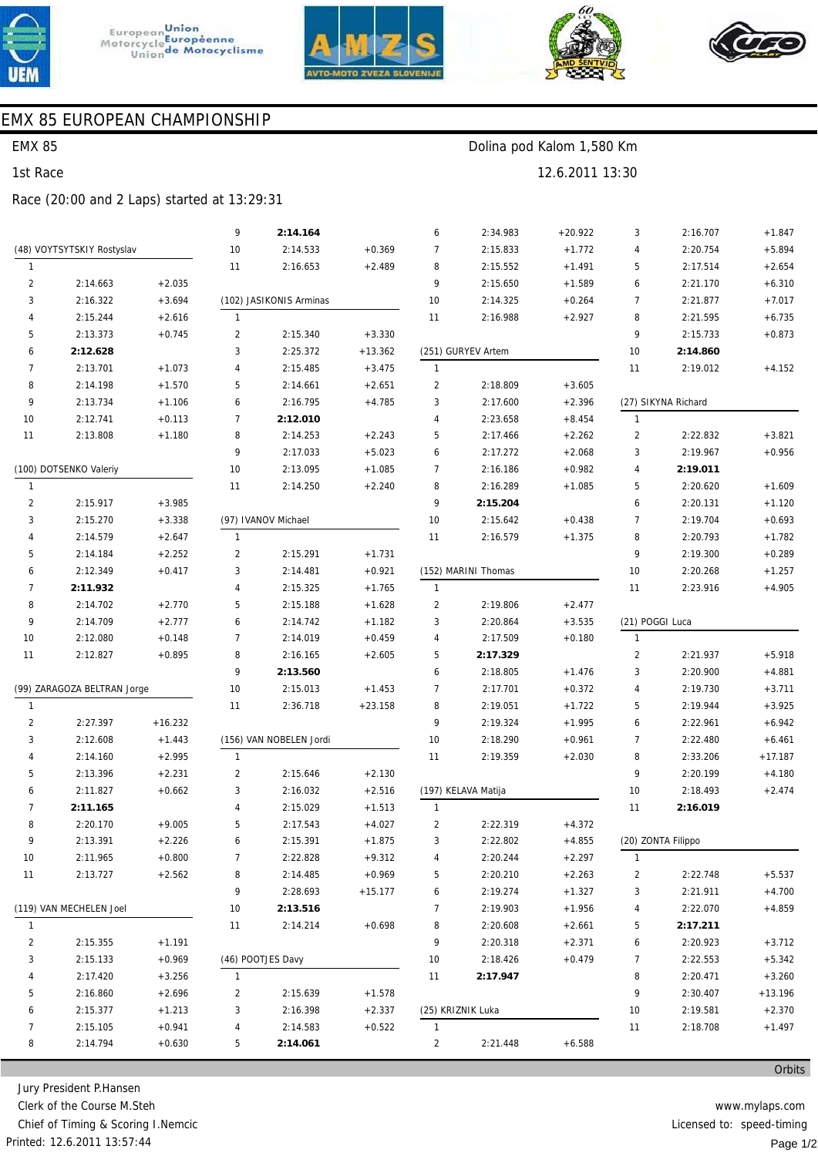







# EMX 85 EUROPEAN CHAMPIONSHIP

## **EMX 85** 1st Race

Dolina pod Kalom 1,580 Km

12.6.2011 13:30

### Race (20:00 and 2 Laps) started at 13:29:31

|                             |                         |           | 9              | 2:14.164                |           | 6                   | 2:34.983            | $+20.922$ | 3               | 2:16.707            | $+1.847$  |
|-----------------------------|-------------------------|-----------|----------------|-------------------------|-----------|---------------------|---------------------|-----------|-----------------|---------------------|-----------|
| (48) VOYTSYTSKIY Rostyslav  |                         |           | 10             | 2:14.533                | $+0.369$  | 7                   | 2:15.833            | $+1.772$  | 4               | 2:20.754            | $+5.894$  |
| $\mathbf{1}$                |                         |           | 11             | 2:16.653                | $+2.489$  | 8                   | 2:15.552            | $+1.491$  | 5               | 2:17.514            | $+2.654$  |
| $\overline{2}$              | 2:14.663                | $+2.035$  |                |                         |           | 9                   | 2:15.650            | $+1.589$  | 6               | 2:21.170            | $+6.310$  |
| 3                           | 2:16.322                | $+3.694$  |                | (102) JASIKONIS Arminas |           | 10                  | 2:14.325            | $+0.264$  | 7               | 2:21.877            | $+7.017$  |
| 4                           | 2:15.244                | $+2.616$  | $\mathbf{1}$   |                         |           | 11                  | 2:16.988            | $+2.927$  | 8               | 2:21.595            | $+6.735$  |
| 5                           | 2:13.373                | $+0.745$  | $\overline{2}$ | 2:15.340                | $+3.330$  |                     |                     |           | 9               | 2:15.733            | $+0.873$  |
| 6                           | 2:12.628                |           | 3              | 2:25.372                | $+13.362$ |                     | (251) GURYEV Artem  |           | 10              | 2:14.860            |           |
| $\overline{7}$              | 2:13.701                | $+1.073$  | $\overline{4}$ | 2:15.485                | $+3.475$  | $\mathbf{1}$        |                     |           | 11              | 2:19.012            | $+4.152$  |
| 8                           | 2:14.198                | $+1.570$  | 5              | 2:14.661                | $+2.651$  | $\overline{c}$      | 2:18.809            | $+3.605$  |                 |                     |           |
| 9                           | 2:13.734                | $+1.106$  | 6              | 2:16.795                | $+4.785$  | 3                   | 2:17.600            | $+2.396$  |                 | (27) SIKYNA Richard |           |
| 10                          | 2:12.741                | $+0.113$  | $\overline{7}$ | 2:12.010                |           | 4                   | 2:23.658            | $+8.454$  | $\mathbf{1}$    |                     |           |
| 11                          | 2:13.808                | $+1.180$  | 8              | 2:14.253                | $+2.243$  | 5                   | 2:17.466            | $+2.262$  | $\overline{2}$  | 2:22.832            | $+3.821$  |
|                             |                         |           | 9              | 2:17.033                | $+5.023$  | 6                   | 2:17.272            | $+2.068$  | 3               | 2:19.967            | $+0.956$  |
|                             | (100) DOTSENKO Valeriy  |           | 10             | 2:13.095                | $+1.085$  | 7                   | 2:16.186            | $+0.982$  | $\overline{4}$  | 2:19.011            |           |
| $\mathbf{1}$                |                         |           | 11             | 2:14.250                | $+2.240$  | 8                   | 2:16.289            | $+1.085$  | 5               | 2:20.620            | $+1.609$  |
| $\overline{2}$              | 2:15.917                | $+3.985$  |                |                         |           | 9                   | 2:15.204            |           | 6               | 2:20.131            | $+1.120$  |
| 3                           | 2:15.270                | $+3.338$  |                | (97) IVANOV Michael     |           | 10                  | 2:15.642            | $+0.438$  | $\overline{7}$  | 2:19.704            | $+0.693$  |
| 4                           | 2:14.579                | $+2.647$  | $\mathbf{1}$   |                         |           | 11                  | 2:16.579            | $+1.375$  | 8               | 2:20.793            | $+1.782$  |
| 5                           | 2:14.184                | $+2.252$  | $\overline{2}$ | 2:15.291                | $+1.731$  |                     |                     |           | 9               | 2:19.300            | $+0.289$  |
| 6                           | 2:12.349                | $+0.417$  | 3              | 2:14.481                | $+0.921$  |                     | (152) MARINI Thomas |           | 10              | 2:20.268            | $+1.257$  |
| 7                           | 2:11.932                |           | $\overline{4}$ | 2:15.325                | $+1.765$  | $\mathbf{1}$        |                     |           | 11              | 2:23.916            | $+4.905$  |
| 8                           | 2:14.702                | $+2.770$  | 5              | 2:15.188                | $+1.628$  | $\overline{c}$      | 2:19.806            | $+2.477$  |                 |                     |           |
| 9                           | 2:14.709                | $+2.777$  | 6              | 2:14.742                | $+1.182$  | 3                   | 2:20.864            | $+3.535$  | (21) POGGI Luca |                     |           |
| 10                          | 2:12.080                | $+0.148$  | $\overline{7}$ | 2:14.019                | $+0.459$  | 4                   | 2:17.509            | $+0.180$  | $\mathbf{1}$    |                     |           |
| 11                          | 2:12.827                | $+0.895$  | 8              | 2:16.165                | $+2.605$  | 5                   | 2:17.329            |           | $\overline{2}$  | 2:21.937            | $+5.918$  |
|                             |                         |           | 9              | 2:13.560                |           | 6                   | 2:18.805            | $+1.476$  | 3               | 2:20.900            | $+4.881$  |
| (99) ZARAGOZA BELTRAN Jorge |                         |           | 10             | 2:15.013                | $+1.453$  | 7                   | 2:17.701            | $+0.372$  | 4               | 2:19.730            | $+3.711$  |
| $\mathbf{1}$                |                         |           | 11             | 2:36.718                | $+23.158$ | 8                   | 2:19.051            | $+1.722$  | 5               | 2:19.944            | $+3.925$  |
| $\overline{2}$              | 2:27.397                | $+16.232$ |                |                         |           | 9                   | 2:19.324            | $+1.995$  | 6               | 2:22.961            | $+6.942$  |
| 3                           | 2:12.608                | $+1.443$  |                | (156) VAN NOBELEN Jordi |           | 10                  | 2:18.290            | $+0.961$  | 7               | 2:22.480            | $+6.461$  |
| 4                           | 2:14.160                | $+2.995$  | $\mathbf{1}$   |                         |           | 11                  | 2:19.359            | $+2.030$  | 8               | 2:33.206            | $+17.187$ |
| 5                           | 2:13.396                | $+2.231$  | $\overline{2}$ | 2:15.646                | $+2.130$  |                     |                     |           | 9               | 2:20.199            | $+4.180$  |
| 6                           | 2:11.827                | $+0.662$  | 3              | 2:16.032                | $+2.516$  | (197) KELAVA Matija |                     |           | 10              | 2:18.493            | $+2.474$  |
| $\overline{7}$              | 2:11.165                |           | $\overline{4}$ | 2:15.029                | $+1.513$  | 1                   |                     |           | 11              | 2:16.019            |           |
| 8                           | 2:20.170                | $+9.005$  | 5              | 2:17.543                | $+4.027$  | $\overline{2}$      | 2:22.319            | $+4.372$  |                 |                     |           |
| 9                           | 2:13.391                | $+2.226$  | 6              | 2:15.391                | $+1.875$  | 3                   | 2:22.802            | $+4.855$  |                 | (20) ZONTA Filippo  |           |
| 10                          | 2:11.965                | $+0.800$  | 7              | 2:22.828                | $+9.312$  | 4                   | 2:20.244            | $+2.297$  | $\mathbf{1}$    |                     |           |
| 11                          | 2:13.727                | $+2.562$  | 8              | 2:14.485                | $+0.969$  | 5                   | 2:20.210            | $+2.263$  | $\overline{2}$  | 2:22.748            | $+5.537$  |
|                             |                         |           | 9              | 2:28.693                | $+15.177$ | 6                   | 2:19.274            | $+1.327$  | 3               | 2:21.911            | $+4.700$  |
|                             | (119) VAN MECHELEN Joel |           | 10             | 2:13.516                |           | 7                   | 2:19.903            | $+1.956$  | 4               | 2:22.070            | $+4.859$  |
| 1                           |                         |           | 11             | 2:14.214                | $+0.698$  | 8                   | 2:20.608            | $+2.661$  | 5               | 2:17.211            |           |
| 2                           | 2:15.355                | $+1.191$  |                |                         |           | 9                   | 2:20.318            | $+2.371$  | 6               | 2:20.923            | $+3.712$  |
| 3                           | 2:15.133                | $+0.969$  |                | (46) POOTJES Davy       |           | 10                  | 2:18.426            | $+0.479$  | 7               | 2:22.553            | $+5.342$  |
| 4                           | 2:17.420                | $+3.256$  | $\mathbf{1}$   |                         |           | 11                  | 2:17.947            |           | 8               | 2:20.471            | $+3.260$  |
| 5                           | 2:16.860                | $+2.696$  | $\overline{2}$ | 2:15.639                | $+1.578$  |                     |                     |           | 9               | 2:30.407            | $+13.196$ |
| 6                           | 2:15.377                | $+1.213$  | 3              | 2:16.398                | $+2.337$  | (25) KRIZNIK Luka   |                     | 10        | 2:19.581        | $+2.370$            |           |
| 7                           | 2:15.105                | $+0.941$  | 4              | 2:14.583                | $+0.522$  | $\mathbf{1}$        |                     |           | 11              | 2:18.708            | $+1.497$  |
| 8                           | 2:14.794                | $+0.630$  | 5              | 2:14.061                |           | 2                   | 2:21.448            | $+6.588$  |                 |                     |           |

Orbits